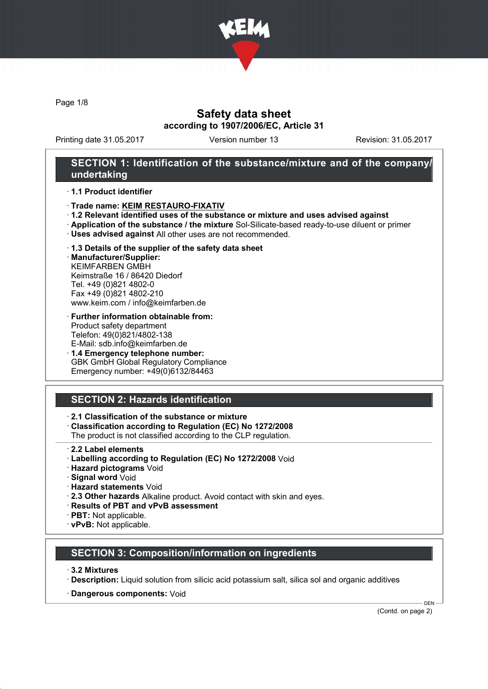

Page 1/8

# Safety data sheet according to 1907/2006/EC, Article 31

Printing date 31.05.2017 Version number 13 Revision: 31.05.2017

### SECTION 1: Identification of the substance/mixture and of the company/ undertaking

#### · 1.1 Product identifier

- · Trade name: KEIM RESTAURO-FIXATIV
- · 1.2 Relevant identified uses of the substance or mixture and uses advised against
- · Application of the substance / the mixture Sol-Silicate-based ready-to-use diluent or primer
- · Uses advised against All other uses are not recommended.

#### · 1.3 Details of the supplier of the safety data sheet

· Manufacturer/Supplier: KEIMFARBEN GMBH Keimstraße 16 / 86420 Diedorf Tel. +49 (0)821 4802-0 Fax +49 (0)821 4802-210 www.keim.com / info@keimfarben.de

#### · Further information obtainable from: Product safety department Telefon: 49(0)821/4802-138 E-Mail: sdb.info@keimfarben.de

· 1.4 Emergency telephone number: GBK GmbH Global Regulatory Compliance Emergency number: +49(0)6132/84463

# SECTION 2: Hazards identification

### · 2.1 Classification of the substance or mixture

· Classification according to Regulation (EC) No 1272/2008

The product is not classified according to the CLP regulation.

- 2.2 Label elements
- · Labelling according to Regulation (EC) No 1272/2008 Void
- · Hazard pictograms Void
- · Signal word Void
- · Hazard statements Void
- · 2.3 Other hazards Alkaline product. Avoid contact with skin and eyes.
- · Results of PBT and vPvB assessment
- · PBT: Not applicable.
- · vPvB: Not applicable.

### SECTION 3: Composition/information on ingredients

- · 3.2 Mixtures
- · Description: Liquid solution from silicic acid potassium salt, silica sol and organic additives
- · Dangerous components: Void

(Contd. on page 2)

DEN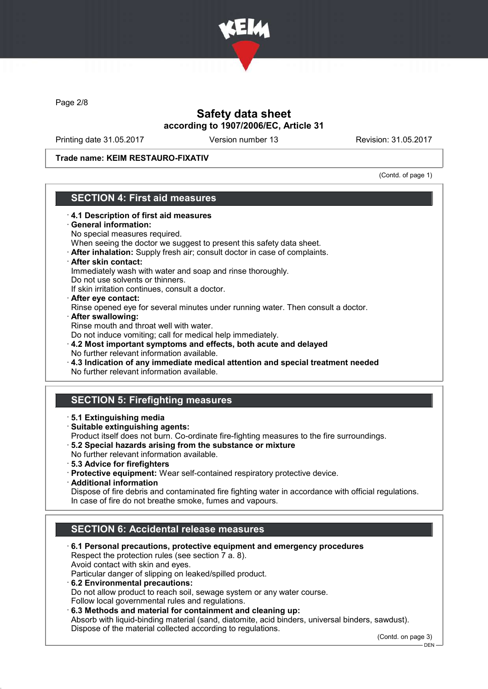

Page 2/8

# Safety data sheet according to 1907/2006/EC, Article 31

Printing date 31.05.2017 Version number 13 Revision: 31.05.2017

Trade name: KEIM RESTAURO-FIXATIV

(Contd. of page 1)

# SECTION 4: First aid measures

· 4.1 Description of first aid measures General information: No special measures required. When seeing the doctor we suggest to present this safety data sheet. · After inhalation: Supply fresh air; consult doctor in case of complaints. · After skin contact: Immediately wash with water and soap and rinse thoroughly. Do not use solvents or thinners. If skin irritation continues, consult a doctor. · After eye contact: Rinse opened eye for several minutes under running water. Then consult a doctor. · After swallowing: Rinse mouth and throat well with water. Do not induce vomiting; call for medical help immediately. · 4.2 Most important symptoms and effects, both acute and delayed No further relevant information available. · 4.3 Indication of any immediate medical attention and special treatment needed No further relevant information available. SECTION 5: Firefighting measures · 5.1 Extinguishing media · Suitable extinguishing agents: Product itself does not burn. Co-ordinate fire-fighting measures to the fire surroundings. · 5.2 Special hazards arising from the substance or mixture No further relevant information available. · 5.3 Advice for firefighters · Protective equipment: Wear self-contained respiratory protective device. · Additional information Dispose of fire debris and contaminated fire fighting water in accordance with official regulations. In case of fire do not breathe smoke, fumes and vapours. SECTION 6: Accidental release measures · 6.1 Personal precautions, protective equipment and emergency procedures Respect the protection rules (see section 7 a. 8). Avoid contact with skin and eyes. Particular danger of slipping on leaked/spilled product. · 6.2 Environmental precautions: Do not allow product to reach soil, sewage system or any water course. Follow local governmental rules and regulations.

· 6.3 Methods and material for containment and cleaning up: Absorb with liquid-binding material (sand, diatomite, acid binders, universal binders, sawdust). Dispose of the material collected according to regulations.

(Contd. on page 3)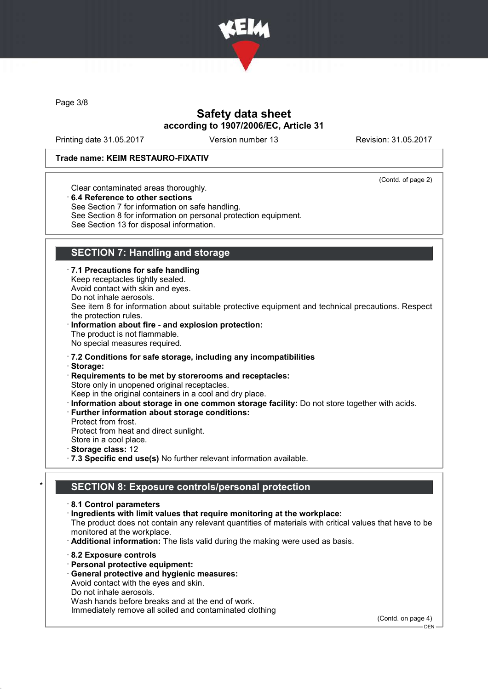

Page 3/8

# Safety data sheet according to 1907/2006/EC, Article 31

Printing date 31.05.2017 Version number 13 Revision: 31.05.2017

#### Trade name: KEIM RESTAURO-FIXATIV

(Contd. of page 2)

Clear contaminated areas thoroughly.

· 6.4 Reference to other sections

See Section 7 for information on safe handling.

See Section 8 for information on personal protection equipment.

See Section 13 for disposal information.

# SECTION 7: Handling and storage

· 7.1 Precautions for safe handling

Keep receptacles tightly sealed. Avoid contact with skin and eyes.

Do not inhale aerosols.

See item 8 for information about suitable protective equipment and technical precautions. Respect the protection rules.

Information about fire - and explosion protection: The product is not flammable. No special measures required.

· 7.2 Conditions for safe storage, including any incompatibilities

· Storage:

· Requirements to be met by storerooms and receptacles: Store only in unopened original receptacles.

Keep in the original containers in a cool and dry place.

· Information about storage in one common storage facility: Do not store together with acids.

· Further information about storage conditions:

Protect from frost.

Protect from heat and direct sunlight. Store in a cool place.

Storage class: 12

· 7.3 Specific end use(s) No further relevant information available.

# SECTION 8: Exposure controls/personal protection

· 8.1 Control parameters

· Ingredients with limit values that require monitoring at the workplace:

The product does not contain any relevant quantities of materials with critical values that have to be monitored at the workplace.

· Additional information: The lists valid during the making were used as basis.

- · 8.2 Exposure controls
- · Personal protective equipment:

· General protective and hygienic measures:

Avoid contact with the eyes and skin.

Do not inhale aerosols.

Wash hands before breaks and at the end of work.

Immediately remove all soiled and contaminated clothing

(Contd. on page 4) DEN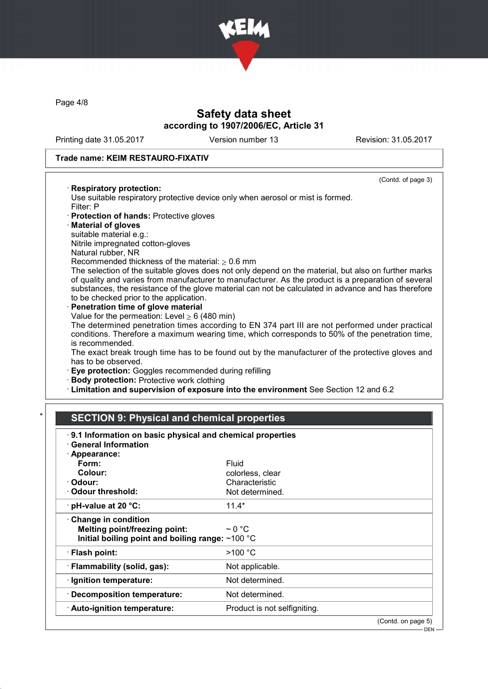

Page 4/8

# Safety data sheet according to 1907/2006/EC, Article 31

Printing date 31.05.2017 Version number 13 Revision: 31.05.2017

(Contd. of page 3)

#### Trade name: KEIM RESTAURO-FIXATIV

#### · Respiratory protection:

Use suitable respiratory protective device only when aerosol or mist is formed. Filter: P

- · Protection of hands: Protective gloves
- · Material of gloves
- suitable material e.g.:
- Nitrile impregnated cotton-gloves
- Natural rubber, NR

Recommended thickness of the material:  $> 0.6$  mm

The selection of the suitable gloves does not only depend on the material, but also on further marks of quality and varies from manufacturer to manufacturer. As the product is a preparation of several substances, the resistance of the glove material can not be calculated in advance and has therefore to be checked prior to the application.

Penetration time of glove material Value for the permeation: Level  $\geq 6$  (480 min)

The determined penetration times according to EN 374 part III are not performed under practical conditions. Therefore a maximum wearing time, which corresponds to 50% of the penetration time, is recommended.

The exact break trough time has to be found out by the manufacturer of the protective gloves and has to be observed.

· Eye protection: Goggles recommended during refilling

- · Body protection: Protective work clothing
- · Limitation and supervision of exposure into the environment See Section 12 and 6.2

# **SECTION 9: Physical and chemical properties**

| 9.1 Information on basic physical and chemical properties<br><b>General Information</b>                                 |                              |                    |
|-------------------------------------------------------------------------------------------------------------------------|------------------------------|--------------------|
| · Appearance:                                                                                                           |                              |                    |
| Form:                                                                                                                   | Fluid                        |                    |
| Colour:                                                                                                                 | colorless, clear             |                    |
| · Odour:                                                                                                                | Characteristic               |                    |
| Odour threshold:                                                                                                        | Not determined.              |                    |
| $\cdot$ pH-value at 20 °C:                                                                                              | $11.4*$                      |                    |
| $\cdot$ Change in condition<br><b>Melting point/freezing point:</b><br>Initial boiling point and boiling range: ~100 °C | $\sim$ 0 °C                  |                    |
| · Flash point:                                                                                                          | >100 °C                      |                    |
| · Flammability (solid, gas):                                                                                            | Not applicable.              |                    |
| · Ignition temperature:                                                                                                 | Not determined.              |                    |
| $\cdot$ Decomposition temperature:                                                                                      | Not determined.              |                    |
| · Auto-ignition temperature:                                                                                            | Product is not selfigniting. |                    |
|                                                                                                                         |                              | (Contd. on page 5) |
|                                                                                                                         |                              | $DEN -$            |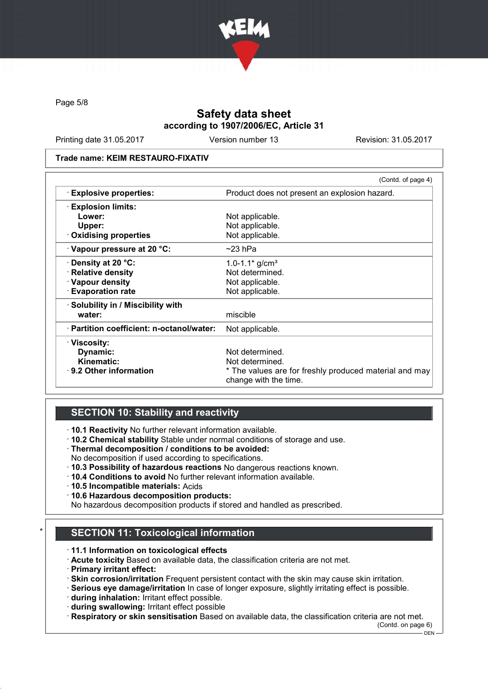

Page 5/8

# Safety data sheet according to 1907/2006/EC, Article 31

Printing date 31.05.2017 Version number 13 Revision: 31.05.2017

#### Trade name: KEIM RESTAURO-FIXATIV

|                                           | (Contd. of page 4)                                                              |  |
|-------------------------------------------|---------------------------------------------------------------------------------|--|
| <b>Explosive properties:</b>              | Product does not present an explosion hazard.                                   |  |
| <b>Explosion limits:</b>                  |                                                                                 |  |
| Lower:                                    | Not applicable.                                                                 |  |
| Upper:                                    | Not applicable.                                                                 |  |
| $\cdot$ Oxidising properties              | Not applicable.                                                                 |  |
| $\cdot$ Vapour pressure at 20 °C:         | $\sim$ 23 hPa                                                                   |  |
| Density at 20 °C:                         | 1.0-1.1 $*$ g/cm <sup>3</sup>                                                   |  |
| · Relative density                        | Not determined.                                                                 |  |
| · Vapour density                          | Not applicable.                                                                 |  |
| <b>Evaporation rate</b>                   | Not applicable.                                                                 |  |
| · Solubility in / Miscibility with        |                                                                                 |  |
| water:                                    | miscible                                                                        |  |
| · Partition coefficient: n-octanol/water: | Not applicable.                                                                 |  |
| · Viscosity:                              |                                                                                 |  |
| Dynamic:                                  | Not determined.                                                                 |  |
| Kinematic:                                | Not determined.                                                                 |  |
| · 9.2 Other information                   | * The values are for freshly produced material and may<br>change with the time. |  |

### SECTION 10: Stability and reactivity

· 10.1 Reactivity No further relevant information available.

- · 10.2 Chemical stability Stable under normal conditions of storage and use.
- · Thermal decomposition / conditions to be avoided:
- No decomposition if used according to specifications.
- · 10.3 Possibility of hazardous reactions No dangerous reactions known.
- · 10.4 Conditions to avoid No further relevant information available.
- · 10.5 Incompatible materials: Acids
- · 10.6 Hazardous decomposition products:

No hazardous decomposition products if stored and handled as prescribed.

# **SECTION 11: Toxicological information**

- · 11.1 Information on toxicological effects
- · Acute toxicity Based on available data, the classification criteria are not met.
- · Primary irritant effect:
- · Skin corrosion/irritation Frequent persistent contact with the skin may cause skin irritation.
- · Serious eye damage/irritation In case of longer exposure, slightly irritating effect is possible.
- · during inhalation: Irritant effect possible.
- · during swallowing: Irritant effect possible

· Respiratory or skin sensitisation Based on available data, the classification criteria are not met.

(Contd. on page 6)

 $-$  DEN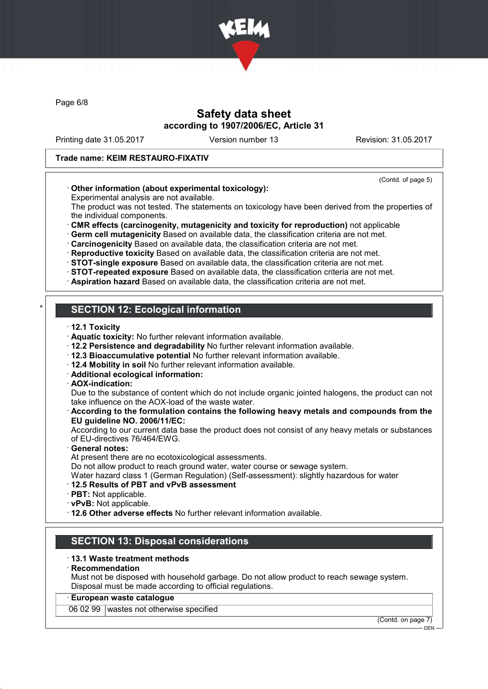

Page 6/8

# Safety data sheet according to 1907/2006/EC, Article 31

Printing date 31.05.2017 Version number 13 Revision: 31.05.2017

#### Trade name: KEIM RESTAURO-FIXATIV

#### (Contd. of page 5)

### · Other information (about experimental toxicology):

Experimental analysis are not available.

The product was not tested. The statements on toxicology have been derived from the properties of the individual components.

· CMR effects (carcinogenity, mutagenicity and toxicity for reproduction) not applicable

· Germ cell mutagenicity Based on available data, the classification criteria are not met.

· Carcinogenicity Based on available data, the classification criteria are not met.

· Reproductive toxicity Based on available data, the classification criteria are not met.

· STOT-single exposure Based on available data, the classification criteria are not met.

· STOT-repeated exposure Based on available data, the classification criteria are not met.

· Aspiration hazard Based on available data, the classification criteria are not met.

# **SECTION 12: Ecological information**

- · 12.1 Toxicity
- · Aquatic toxicity: No further relevant information available.
- · 12.2 Persistence and degradability No further relevant information available.
- · 12.3 Bioaccumulative potential No further relevant information available.
- · 12.4 Mobility in soil No further relevant information available.
- · Additional ecological information:
- · AOX-indication:

Due to the substance of content which do not include organic jointed halogens, the product can not take influence on the AOX-load of the waste water.

#### · According to the formulation contains the following heavy metals and compounds from the EU guideline NO. 2006/11/EC:

According to our current data base the product does not consist of any heavy metals or substances of EU-directives 76/464/EWG.

General notes:

At present there are no ecotoxicological assessments.

Do not allow product to reach ground water, water course or sewage system.

Water hazard class 1 (German Regulation) (Self-assessment): slightly hazardous for water

#### · 12.5 Results of PBT and vPvB assessment

- · PBT: Not applicable.
- · vPvB: Not applicable.

· 12.6 Other adverse effects No further relevant information available.

### SECTION 13: Disposal considerations

#### · 13.1 Waste treatment methods

#### · Recommendation

Must not be disposed with household garbage. Do not allow product to reach sewage system. Disposal must be made according to official regulations.

### · European waste catalogue

06 02 99 wastes not otherwise specified

(Contd. on page 7) **DEN**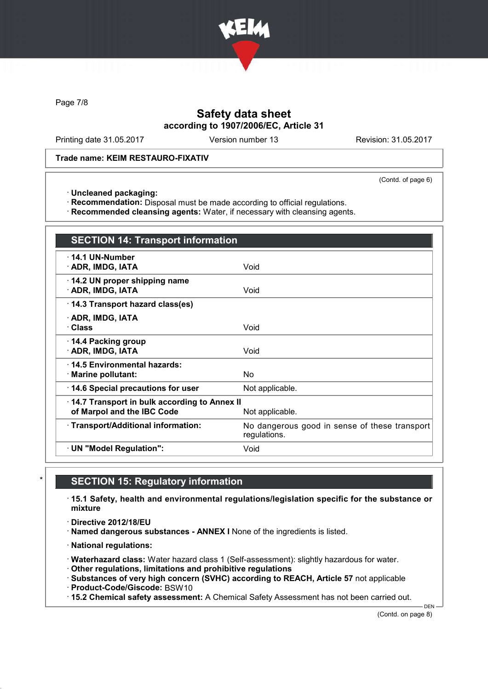

Page 7/8

# Safety data sheet according to 1907/2006/EC, Article 31

Printing date 31.05.2017 Version number 13 Revision: 31.05.2017

#### Trade name: KEIM RESTAURO-FIXATIV

(Contd. of page 6)

· Uncleaned packaging:

· Recommendation: Disposal must be made according to official regulations.

· Recommended cleansing agents: Water, if necessary with cleansing agents.

| <b>SECTION 14: Transport information</b>                                                      |                                                               |  |
|-----------------------------------------------------------------------------------------------|---------------------------------------------------------------|--|
| $\cdot$ 14.1 UN-Number<br>· ADR, IMDG, IATA                                                   | Void                                                          |  |
| 14.2 UN proper shipping name<br>· ADR, IMDG, IATA                                             | Void                                                          |  |
| 14.3 Transport hazard class(es)                                                               |                                                               |  |
| · ADR, IMDG, IATA<br>· Class                                                                  | Void                                                          |  |
| 14.4 Packing group<br>· ADR, IMDG, IATA                                                       | Void                                                          |  |
| 14.5 Environmental hazards:<br>· Marine pollutant:                                            | No                                                            |  |
| 14.6 Special precautions for user                                                             | Not applicable.                                               |  |
| 14.7 Transport in bulk according to Annex II<br>of Marpol and the IBC Code<br>Not applicable. |                                                               |  |
| · Transport/Additional information:                                                           | No dangerous good in sense of these transport<br>regulations. |  |
| · UN "Model Regulation":                                                                      | Void                                                          |  |

### **SECTION 15: Regulatory information**

· 15.1 Safety, health and environmental regulations/legislation specific for the substance or mixture

· Directive 2012/18/EU

· Named dangerous substances - ANNEX I None of the ingredients is listed.

· National regulations:

· Waterhazard class: Water hazard class 1 (Self-assessment): slightly hazardous for water.

· Other regulations, limitations and prohibitive regulations

· Substances of very high concern (SVHC) according to REACH, Article 57 not applicable

· Product-Code/Giscode: BSW10

· 15.2 Chemical safety assessment: A Chemical Safety Assessment has not been carried out.

(Contd. on page 8)

DEN